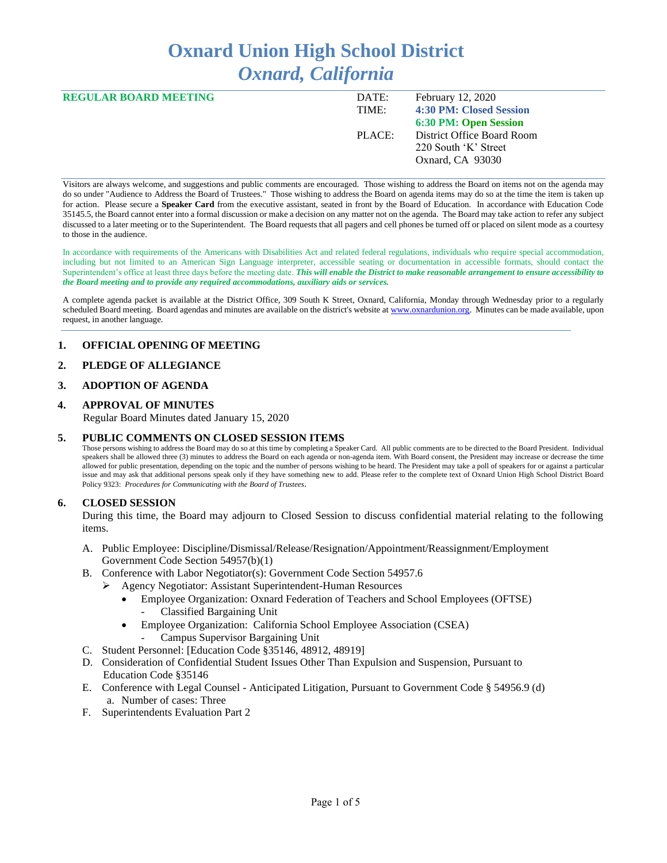# **Oxnard Union High School District** *Oxnard, California*

| <b>REGULAR BOARD MEETING</b> | DATE:  | <b>February 12, 2020</b>   |
|------------------------------|--------|----------------------------|
|                              | TIME:  | 4:30 PM: Closed Session    |
|                              |        | 6:30 PM: Open Session      |
|                              | PLACE: | District Office Board Room |
|                              |        | 220 South 'K' Street       |
|                              |        | Oxnard, CA 93030           |
|                              |        |                            |

Visitors are always welcome, and suggestions and public comments are encouraged. Those wishing to address the Board on items not on the agenda may do so under "Audience to Address the Board of Trustees." Those wishing to address the Board on agenda items may do so at the time the item is taken up for action. Please secure a **Speaker Card** from the executive assistant, seated in front by the Board of Education. In accordance with Education Code 35145.5, the Board cannot enter into a formal discussion or make a decision on any matter not on the agenda. The Board may take action to refer any subject discussed to a later meeting or to the Superintendent. The Board requests that all pagers and cell phones be turned off or placed on silent mode as a courtesy to those in the audience.

In accordance with requirements of the Americans with Disabilities Act and related federal regulations, individuals who require special accommodation, including but not limited to an American Sign Language interpreter, accessible seating or documentation in accessible formats, should contact the Superintendent's office at least three days before the meeting date. *This will enable the District to make reasonable arrangement to ensure accessibility to the Board meeting and to provide any required accommodations, auxiliary aids or services.* 

A complete agenda packet is available at the District Office, 309 South K Street, Oxnard, California, Monday through Wednesday prior to a regularly scheduled Board meeting. Board agendas and minutes are available on the district's website a[t www.ox](http://www.o/)nardunion.org.Minutes can be made available, upon request, in another language.

## **1. OFFICIAL OPENING OF MEETING**

## **2. PLEDGE OF ALLEGIANCE**

## **3. ADOPTION OF AGENDA**

## **4. APPROVAL OF MINUTES**

Regular Board Minutes dated January 15, 2020

## **5. PUBLIC COMMENTS ON CLOSED SESSION ITEMS**

Those persons wishing to address the Board may do so at this time by completing a Speaker Card. All public comments are to be directed to the Board President. Individual speakers shall be allowed three (3) minutes to address the Board on each agenda or non-agenda item. With Board consent, the President may increase or decrease the time allowed for public presentation, depending on the topic and the number of persons wishing to be heard. The President may take a poll of speakers for or against a particular issue and may ask that additional persons speak only if they have something new to add. Please refer to the complete text of Oxnard Union High School District Board Policy 9323: *Procedures for Communicating with the Board of Trustees*.

#### **6. CLOSED SESSION**

During this time, the Board may adjourn to Closed Session to discuss confidential material relating to the following items.

- A. Public Employee: Discipline/Dismissal/Release/Resignation/Appointment/Reassignment/Employment Government Code Section 54957(b)(1)
- B. Conference with Labor Negotiator(s): Government Code Section 54957.6
	- ➢ Agency Negotiator: Assistant Superintendent-Human Resources
		- Employee Organization: Oxnard Federation of Teachers and School Employees (OFTSE) - Classified Bargaining Unit
		- Employee Organization: California School Employee Association (CSEA)
			- Campus Supervisor Bargaining Unit
- C. Student Personnel: [Education Code §35146, 48912, 48919]
- D. Consideration of Confidential Student Issues Other Than Expulsion and Suspension, Pursuant to Education Code §35146
- E. Conference with Legal Counsel Anticipated Litigation, Pursuant to Government Code § 54956.9 (d) a. Number of cases: Three
- F. Superintendents Evaluation Part 2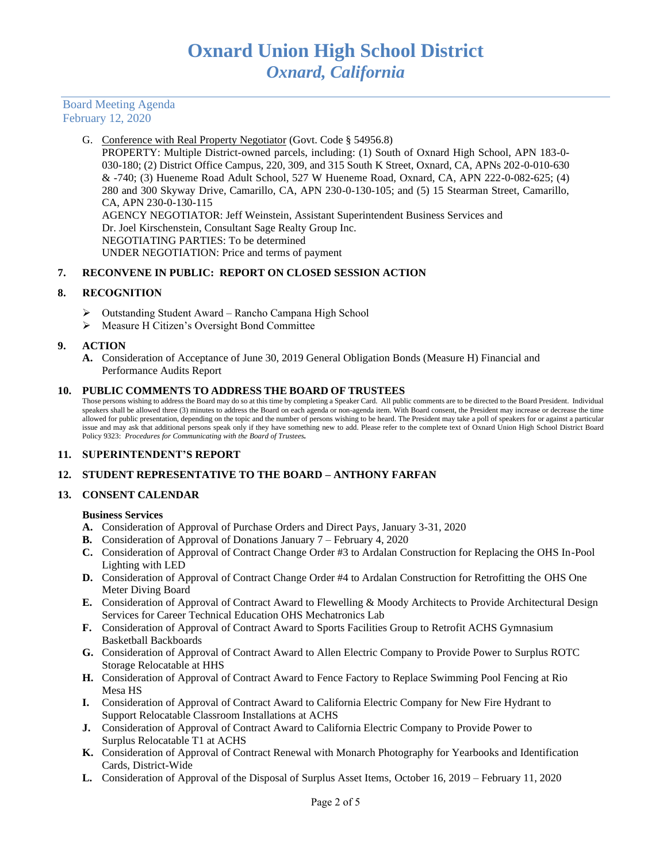Board Meeting Agenda February 12, 2020

### G. Conference with Real Property Negotiator (Govt. Code § 54956.8)

PROPERTY: Multiple District-owned parcels, including: (1) South of Oxnard High School, APN 183-0- 030-180; (2) District Office Campus, 220, 309, and 315 South K Street, Oxnard, CA, APNs 202-0-010-630 & -740; (3) Hueneme Road Adult School, 527 W Hueneme Road, Oxnard, CA, APN 222-0-082-625; (4) 280 and 300 Skyway Drive, Camarillo, CA, APN 230-0-130-105; and (5) 15 Stearman Street, Camarillo, CA, APN 230-0-130-115 AGENCY NEGOTIATOR: Jeff Weinstein, Assistant Superintendent Business Services and Dr. Joel Kirschenstein, Consultant Sage Realty Group Inc. NEGOTIATING PARTIES: To be determined UNDER NEGOTIATION: Price and terms of payment

## **7. RECONVENE IN PUBLIC: REPORT ON CLOSED SESSION ACTION**

## **8. RECOGNITION**

- ➢ Outstanding Student Award Rancho Campana High School
- ➢ Measure H Citizen's Oversight Bond Committee

#### **9. ACTION**

**A.** Consideration of Acceptance of June 30, 2019 General Obligation Bonds (Measure H) Financial and Performance Audits Report

#### **10. PUBLIC COMMENTS TO ADDRESS THE BOARD OF TRUSTEES**

Those persons wishing to address the Board may do so at this time by completing a Speaker Card. All public comments are to be directed to the Board President. Individual speakers shall be allowed three (3) minutes to address the Board on each agenda or non-agenda item. With Board consent, the President may increase or decrease the time allowed for public presentation, depending on the topic and the number of persons wishing to be heard. The President may take a poll of speakers for or against a particular issue and may ask that additional persons speak only if they have something new to add. Please refer to the complete text of Oxnard Union High School District Board Policy 9323: *Procedures for Communicating with the Board of Trustees.*

## **11. SUPERINTENDENT'S REPORT**

## **12. STUDENT REPRESENTATIVE TO THE BOARD – ANTHONY FARFAN**

## **13. CONSENT CALENDAR**

#### **Business Services**

- **A.** Consideration of Approval of Purchase Orders and Direct Pays, January 3-31, 2020
- **B.** Consideration of Approval of Donations January 7 February 4, 2020
- **C.** Consideration of Approval of Contract Change Order #3 to Ardalan Construction for Replacing the OHS In-Pool Lighting with LED
- **D.** Consideration of Approval of Contract Change Order #4 to Ardalan Construction for Retrofitting the OHS One Meter Diving Board
- **E.** Consideration of Approval of Contract Award to Flewelling & Moody Architects to Provide Architectural Design Services for Career Technical Education OHS Mechatronics Lab
- **F.** Consideration of Approval of Contract Award to Sports Facilities Group to Retrofit ACHS Gymnasium Basketball Backboards
- **G.** Consideration of Approval of Contract Award to Allen Electric Company to Provide Power to Surplus ROTC Storage Relocatable at HHS
- **H.** Consideration of Approval of Contract Award to Fence Factory to Replace Swimming Pool Fencing at Rio Mesa HS
- **I.** Consideration of Approval of Contract Award to California Electric Company for New Fire Hydrant to Support Relocatable Classroom Installations at ACHS
- **J.** Consideration of Approval of Contract Award to California Electric Company to Provide Power to Surplus Relocatable T1 at ACHS
- **K.** Consideration of Approval of Contract Renewal with Monarch Photography for Yearbooks and Identification Cards, District-Wide
- **L.** Consideration of Approval of the Disposal of Surplus Asset Items, October 16, 2019 February 11, 2020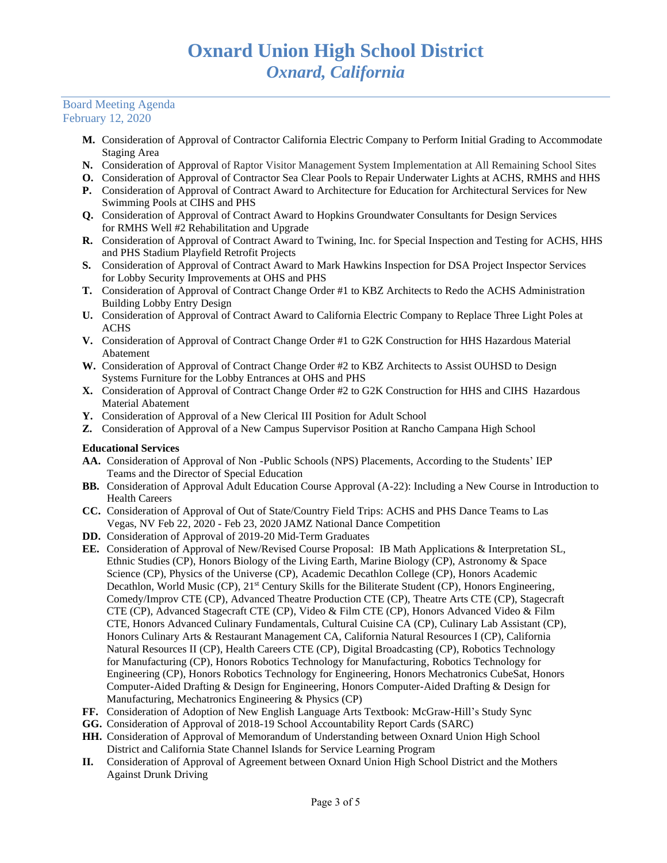#### Board Meeting Agenda February 12, 2020

- **M.** Consideration of Approval of Contractor California Electric Company to Perform Initial Grading to Accommodate Staging Area
- **N.** Consideration of Approval of Raptor Visitor Management System Implementation at All Remaining School Sites
- **O.** Consideration of Approval of Contractor Sea Clear Pools to Repair Underwater Lights at ACHS, RMHS and HHS
- **P.** Consideration of Approval of Contract Award to Architecture for Education for Architectural Services for New Swimming Pools at CIHS and PHS
- **Q.** Consideration of Approval of Contract Award to Hopkins Groundwater Consultants for Design Services for RMHS Well #2 Rehabilitation and Upgrade
- **R.** Consideration of Approval of Contract Award to Twining, Inc. for Special Inspection and Testing for ACHS, HHS and PHS Stadium Playfield Retrofit Projects
- **S.** Consideration of Approval of Contract Award to Mark Hawkins Inspection for DSA Project Inspector Services for Lobby Security Improvements at OHS and PHS
- **T.** Consideration of Approval of Contract Change Order #1 to KBZ Architects to Redo the ACHS Administration Building Lobby Entry Design
- **U.** Consideration of Approval of Contract Award to California Electric Company to Replace Three Light Poles at **ACHS**
- **V.** Consideration of Approval of Contract Change Order #1 to G2K Construction for HHS Hazardous Material Abatement
- **W.** Consideration of Approval of Contract Change Order #2 to KBZ Architects to Assist OUHSD to Design Systems Furniture for the Lobby Entrances at OHS and PHS
- **X.** Consideration of Approval of Contract Change Order #2 to G2K Construction for HHS and CIHS Hazardous Material Abatement
- **Y.** Consideration of Approval of a New Clerical III Position for Adult School
- **Z.** Consideration of Approval of a New Campus Supervisor Position at Rancho Campana High School

# **Educational Services**

- **AA.** Consideration of Approval of Non -Public Schools (NPS) Placements, According to the Students' IEP Teams and the Director of Special Education
- **BB.** Consideration of Approval Adult Education Course Approval (A-22): Including a New Course in Introduction to Health Careers
- **CC.** Consideration of Approval of Out of State/Country Field Trips: ACHS and PHS Dance Teams to Las Vegas, NV Feb 22, 2020 - Feb 23, 2020 JAMZ National Dance Competition
- **DD.** Consideration of Approval of 2019-20 Mid-Term Graduates
- **EE.** Consideration of Approval of New/Revised Course Proposal: IB Math Applications & Interpretation SL, Ethnic Studies (CP), Honors Biology of the Living Earth, Marine Biology (CP), Astronomy & Space Science (CP), Physics of the Universe (CP), Academic Decathlon College (CP), Honors Academic Decathlon, [World Music \(CP\),](https://docs.google.com/document/d/143jUlg1ud5H4xzTAfTaTYr1Xp-e457xLbfFs0I5PkUI/edit?usp=sharing) 21<sup>st</sup> [Century Skills for the Biliterate Student \(CP\),](https://docs.google.com/document/d/1dIqgCp9DnfsKXM4Q-xMGeprebdieBQo9sv8XG-hFNSM/edit?usp=sharing) [Honors Engineering,](https://drive.google.com/file/d/0Bxk2pswAJGNrZWR0ODdqbkpHQU9TeS1UcmxDbS1tb3hpV1Uw/view?usp=sharing) [Comedy/Improv CTE \(CP\),](https://drive.google.com/file/d/0Bxk2pswAJGNrMGNNWW1YVmVjblNDVWtGa2s4aEN0MkRZeFo4/view?usp=sharing) Advanced Theatre Production CTE (CP), [Theatre Arts CTE \(CP\),](https://drive.google.com/file/d/1PQH9fZBT9jwZklxFRNq-MuedfuGZUFyi/view?usp=sharing) [Stagecraft](https://drive.google.com/file/d/1PDjDBSvTKT16Pi2G2P6P-MYKqmpOCpT6/view?usp=sharing)  [CTE \(CP\),](https://drive.google.com/file/d/1PDjDBSvTKT16Pi2G2P6P-MYKqmpOCpT6/view?usp=sharing) [Advanced Stagecraft CTE \(CP\),](https://drive.google.com/file/d/1YUOil2rrwqysXehZ_dAJFP_hSY1ikMi_/view?usp=sharing) [Video & Film CTE \(CP\),](https://drive.google.com/file/d/0Bxk2pswAJGNrVFFtbXpvVVBHbjFHN21yZElQMmpzeTJHQ25v/view?usp=sharing) Honors Advanced Video & Film CTE, Honors Advanced Culinary Fundamentals, Cultural Cuisine CA (CP), [Culinary Lab Assistant \(CP\),](https://drive.google.com/open?id=0Bxk2pswAJGNrTlpObXpwa0VFUzZVdkhUUVFYZ0lmSnVMaWxN) Honors Culinary Arts & Restaurant Management CA, [California Natural Resources I \(](https://drive.google.com/file/d/0Bxk2pswAJGNra0JzU3JBYmh0ODhkaWFMbUVzSkZ2aE0xZkJj/view?usp=sharing)CP), [California](https://drive.google.com/file/d/0Bxk2pswAJGNra0JzU3JBYmh0ODhkaWFMbUVzSkZ2aE0xZkJj/view?usp=sharing)  [Natural Resources II \(](https://drive.google.com/file/d/0Bxk2pswAJGNra0JzU3JBYmh0ODhkaWFMbUVzSkZ2aE0xZkJj/view?usp=sharing)CP), [Health Careers CTE \(CP\),](https://drive.google.com/file/d/0Bxk2pswAJGNrY3pQbDlFZVg0bHQwY0M0aTZMZ2lkREpLVE9J/view?usp=sharing) [Digital Broadcasting \(CP\),](https://drive.google.com/file/d/0Bxk2pswAJGNrbmVEdWQtUnJCbnl2bnRQZXcyQW1FcUFya2dV/view?usp=sharing) [Robotics Technology](https://drive.google.com/file/d/0Bxk2pswAJGNrRXA4MVJCWWJxa0wxWnZlaUVCLVpjVmpPVkdN/view?usp=sharing)  [for Manufacturing](https://drive.google.com/file/d/0Bxk2pswAJGNrRXA4MVJCWWJxa0wxWnZlaUVCLVpjVmpPVkdN/view?usp=sharing) (CP), [Honors Robotics Technology for Manufacturing,](https://drive.google.com/open?id=0B8L1RqfntcltM0d3bTYwTWsyRERWT0JkYlpUSENaMXBaU1Zv) [Robotics Technology for](https://drive.google.com/file/d/0Bxk2pswAJGNrWWdMeFZDSkgzS1Q5REdudjV2TmpFS0ZIZWFF/view?usp=sharing)  [Engineering \(CP\),](https://drive.google.com/file/d/0Bxk2pswAJGNrWWdMeFZDSkgzS1Q5REdudjV2TmpFS0ZIZWFF/view?usp=sharing) Honors Robotics Technology for Engineering, Honors Mechatronics CubeSat, Honors [Computer-Aided Drafting & Design for Engineering,](https://drive.google.com/file/d/0Bzwwnh95D_1bSVRWQl9QWEdfN3U3M3Y0ZS1BYWphRnQxcnJz/view?usp=sharing) Honor[s Computer-Aided Drafting & Design for](https://drive.google.com/file/d/0Bzwwnh95D_1bcEJrSlNyZ1BPQ2I3NkFiMmI0aldBZ1lmRTc0/view?usp=sharing)  [Manufacturing,](https://drive.google.com/file/d/0Bzwwnh95D_1bcEJrSlNyZ1BPQ2I3NkFiMmI0aldBZ1lmRTc0/view?usp=sharing) [Mechatronics Engineering & Physics \(CP\)](https://drive.google.com/file/d/0Bzwwnh95D_1bMWdsTjBYTjRtV1Z2eklQMTVaVWVjZmdCUm9R/view?usp=sharing)
- **FF.** Consideration of Adoption of New English Language Arts Textbook: McGraw-Hill's Study Sync
- **GG.** Consideration of Approval of 2018-19 School Accountability Report Cards (SARC)
- **HH.** Consideration of Approval of Memorandum of Understanding between Oxnard Union High School District and California State Channel Islands for Service Learning Program
- **II.** Consideration of Approval of Agreement between Oxnard Union High School District and the Mothers Against Drunk Driving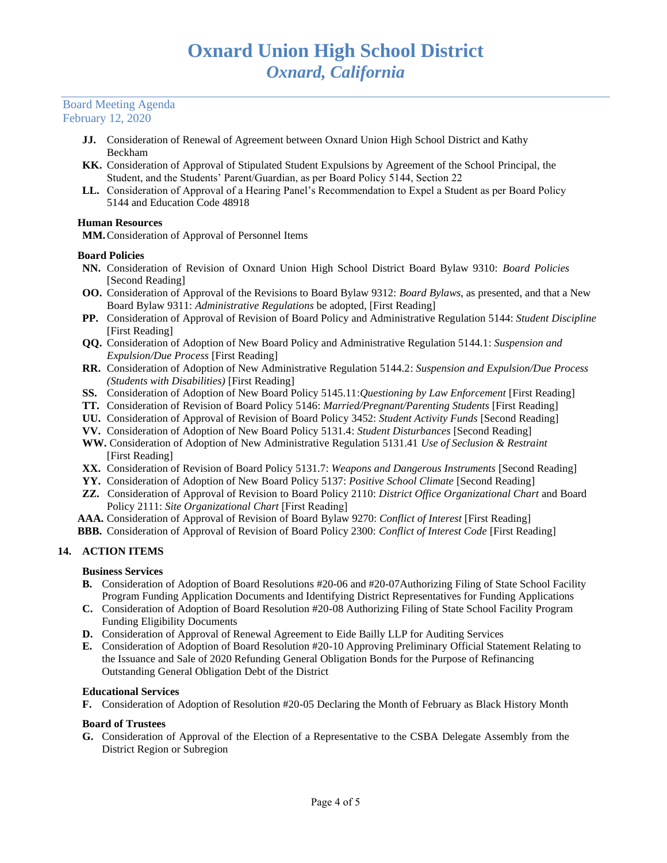#### Board Meeting Agenda February 12, 2020

- **JJ.** Consideration of Renewal of Agreement between Oxnard Union High School District and Kathy Beckham
- **KK.** Consideration of Approval of Stipulated Student Expulsions by Agreement of the School Principal, the Student, and the Students' Parent/Guardian, as per Board Policy 5144, Section 22
- **LL.** Consideration of Approval of a Hearing Panel's Recommendation to Expel a Student as per Board Policy 5144 and Education Code 48918

## **Human Resources**

**MM.**Consideration of Approval of Personnel Items

## **Board Policies**

- **NN.** Consideration of Revision of Oxnard Union High School District Board Bylaw 9310: *Board Policies*  [Second Reading]
- **OO.** Consideration of Approval of the Revisions to Board Bylaw 9312: *Board Bylaws*, as presented, and that a New Board Bylaw 9311: *Administrative Regulations* be adopted, [First Reading]
- **PP.** Consideration of Approval of Revision of Board Policy and Administrative Regulation 5144: *Student Discipline* [First Reading]
- **QQ.** Consideration of Adoption of New Board Policy and Administrative Regulation 5144.1: *Suspension and Expulsion/Due Process* [First Reading]
- **RR.** Consideration of Adoption of New Administrative Regulation 5144.2: *Suspension and Expulsion/Due Process (Students with Disabilities)* [First Reading]
- **SS.** Consideration of Adoption of New Board Policy 5145.11:*Questioning by Law Enforcement* [First Reading]
- **TT.** Consideration of Revision of Board Policy 5146: *Married/Pregnant/Parenting Students* [First Reading]
- **UU.** Consideration of Approval of Revision of Board Policy 3452: *Student Activity Funds* [Second Reading]
- **VV.** Consideration of Adoption of New Board Policy 5131.4: *Student Disturbances* [Second Reading]
- **WW.** Consideration of Adoption of New Administrative Regulation 5131.41 *Use of Seclusion & Restraint*  [First Reading]
- **XX.** Consideration of Revision of Board Policy 5131.7: *Weapons and Dangerous Instruments* [Second Reading]
- **YY.** Consideration of Adoption of New Board Policy 5137: *Positive School Climate* [Second Reading]
- **ZZ.** Consideration of Approval of Revision to Board Policy 2110: *District Office Organizational Chart* and Board Policy 2111: *Site Organizational Chart* [First Reading]
- **AAA.** Consideration of Approval of Revision of Board Bylaw 9270: *Conflict of Interest* [First Reading]
- **BBB.** Consideration of Approval of Revision of Board Policy 2300: *Conflict of Interest Code* [First Reading]

# **14. ACTION ITEMS**

# **Business Services**

- **B.** Consideration of Adoption of Board Resolutions #20-06 and #20-07Authorizing Filing of State School Facility Program Funding Application Documents and Identifying District Representatives for Funding Applications
- **C.** Consideration of Adoption of Board Resolution #20-08 Authorizing Filing of State School Facility Program Funding Eligibility Documents
- **D.** Consideration of Approval of Renewal Agreement to Eide Bailly LLP for Auditing Services
- **E.** Consideration of Adoption of Board Resolution #20-10 Approving Preliminary Official Statement Relating to the Issuance and Sale of 2020 Refunding General Obligation Bonds for the Purpose of Refinancing Outstanding General Obligation Debt of the District

## **Educational Services**

**F.** Consideration of Adoption of Resolution #20-05 Declaring the Month of February as Black History Month

## **Board of Trustees**

**G.** Consideration of Approval of the Election of a Representative to the CSBA Delegate Assembly from the District Region or Subregion